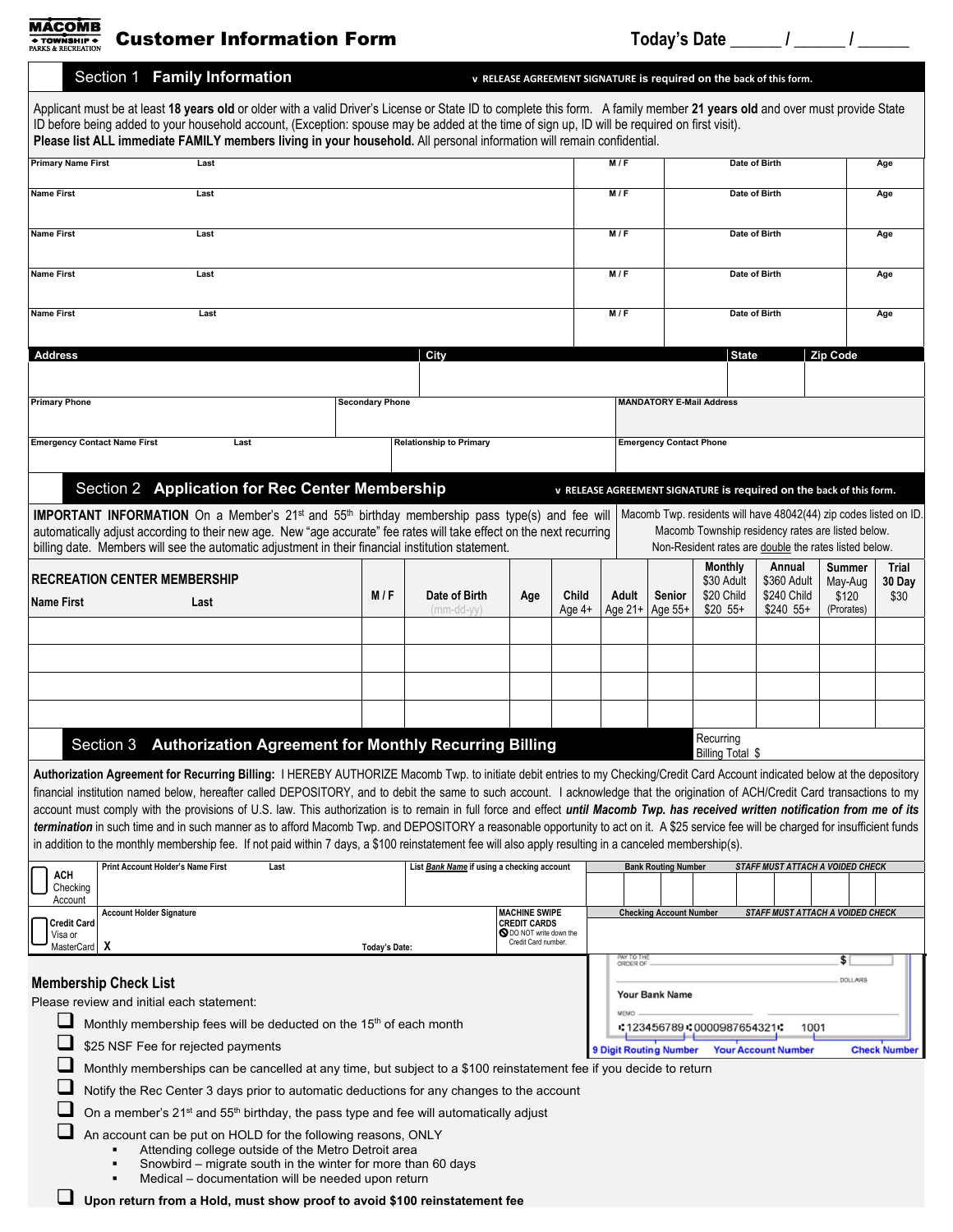**MÁCOMB** + TOWNSHIP +

Customer Information Form **Today's Date** Form Today's Date **The Customer Information Form** 

Applicant must be at least **18 years old** or older with a valid Driver's License or State ID to complete this form. A family member **21 years old** and over must provide State ID before being added to your household account, (Exception: spouse may be added at the time of sign up, ID will be required on first visit). **Please list ALL immediate FAMILY members living in your household.** All personal information will remain confidential. **Primary Name First Last M / F Date of Birth Age Name First Last M / F Date of Birth Age Name First Last M / F Date of Birth Age Name First Last M / F Date of Birth Age Name First Last M / F Date of Birth Age Address City State Zip Code Primary Phone MANDATORY E-Mail Address**  Secondary Phone **Secondary Phone MANDATORY E-Mail Address MANDATORY E-Mail Address Emergency Contact Name First Last Last Relationship to Primary Contact Phone** Section 2 **Application for Rec Center Membership v RELEASE AGREEMENT SIGNATURE** is required on the back of this form. Macomb Twp. residents will have 48042(44) zip codes listed on ID. **IMPORTANT INFORMATION** On a Member's 21<sup>st</sup> and 55<sup>th</sup> birthday membership pass type(s) and fee will automatically adjust according to their new age. New "age accurate" fee rates will take effect on the next recurring Macomb Township residency rates are listed below. Non-Resident rates are double the rates listed below. billing date. Members will see the automatic adjustment in their financial institution statement. **Monthly Annual Summer Trial RECREATION CENTER MEMBERSHIP** \$30 Adult \$360 Adult May-Aug **30 Day Age Child Adult Senior** \$20 Child \$240 Child **Name First Last M/F Date of Birth** \$120 \$30 \$20 55+ Age 4+ Age 21+ \$240 55+ Age 55+ (Prorates) (mm-dd-yy) **Section 3** Authorization Agreement for Monthly Recurring Billing **Recurring Recurring**  Billing Total \$ **Authorization Agreement for Recurring Billing:** I HEREBY AUTHORIZE Macomb Twp. to initiate debit entries to my Checking/Credit Card Account indicated below at the depository financial institution named below, hereafter called DEPOSITORY, and to debit the same to such account. I acknowledge that the origination of ACH/Credit Card transactions to my account must comply with the provisions of U.S. law. This authorization is to remain in full force and effect *until Macomb Twp. has received written notification from me of its termination* in such time and in such manner as to afford Macomb Twp. and DEPOSITORY a reasonable opportunity to act on it. A \$25 service fee will be charged for insufficient funds in addition to the monthly membership fee. If not paid within 7 days, a \$100 reinstatement fee will also apply resulting in a canceled membership(s). **Print Account Holder's Name First Last Last Last List Bank Name if using a checking account <b>Bank Routing Number** *STAFF MUST ATTACH A VOIDED CHECK*  **ACH** Checking Account **Account Holder Signature MACHINE SWIPE Checking Account Number** *STAFF MUST ATTACH A VOIDED CHECK* **Credit Card CREDIT CARDS**<br> **S** DO NOT write down the Credit Card number. Visa or  **X Today's Date: MasterCard** PAY TO TH<br>ORDER O \$ DOLLARS  **Membership Check List Your Bank Name**  Please review and initial each statement: curius. Monthly membership fees will be deducted on the 15<sup>th</sup> of each month :123456789:0000987654321: 1001 \$25 NSF Fee for rejected payments ■ \$25 NSF Fee for rejected payments<br>■ Monthly memberships can be cancelled at any time, but subject to a \$100 reinstatement fee if you decide to return **Your Account Number Check Number**  $\Box$  Notify the Rec Center 3 days prior to automatic deductions for any changes to the account  $\Box$  On a member's 21<sup>st</sup> and 55<sup>th</sup> birthday, the pass type and fee will automatically adjust

Section 1 **Family Information <sup>v</sup> RELEASE AGREEMENT SIGNATURE is required on the back of this form.**

An account can be put on HOLD for the following reasons, ONLY

- Attending college outside of the Metro Detroit area
- Snowbird migrate south in the winter for more than 60 days
- Medical documentation will be needed upon return

**Upon return from a Hold, must show proof to avoid \$100 reinstatement fee**